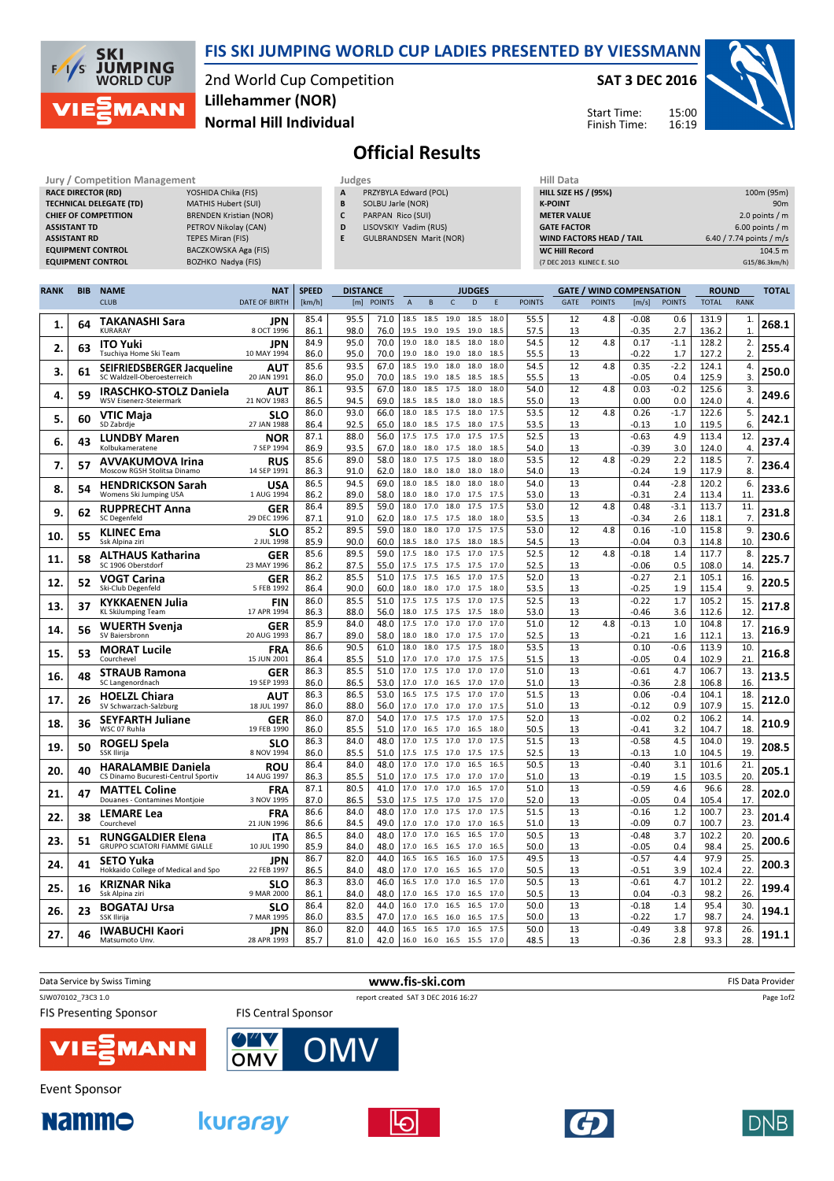

## FIS SKI JUMPING WORLD CUP LADIES PRESENTED BY VIESSMANN

2nd World Cup Competition Normal Hill Individual Lillehammer (NOR)

## SAT 3 DEC 2016

Start Time: Finish Time:



## Official Results

| Jury / Competition Management  |                               |   | Judges                         | <b>Hill Data</b>   |
|--------------------------------|-------------------------------|---|--------------------------------|--------------------|
| <b>RACE DIRECTOR (RD)</b>      | YOSHIDA Chika (FIS)           | A | PRZYBYLA Edward (POL)          | <b>HILL SIZE H</b> |
| <b>TECHNICAL DELEGATE (TD)</b> | MATHIS Hubert (SUI)           | B | SOLBU Jarle (NOR)              | <b>K-POINT</b>     |
| <b>CHIEF OF COMPETITION</b>    | <b>BRENDEN Kristian (NOR)</b> |   | PARPAN Rico (SUI)              | <b>METER VAI</b>   |
| <b>ASSISTANT TD</b>            | PETROV Nikolav (CAN)          | D | LISOVSKIY Vadim (RUS)          | <b>GATE FACT</b>   |
| <b>ASSISTANT RD</b>            | <b>TEPES Miran (FIS)</b>      |   | <b>GULBRANDSEN Marit (NOR)</b> | <b>WIND FACT</b>   |
| <b>EQUIPMENT CONTROL</b>       | BACZKOWSKA Aga (FIS)          |   |                                | WC Hill Re         |
| <b>EQUIPMENT CONTROL</b>       | BOZHKO Nadva (FIS)            |   |                                | (7 DEC 2013        |

| HIII Data                       |                          |
|---------------------------------|--------------------------|
| <b>HILL SIZE HS / (95%)</b>     | 100m (95m)               |
| <b>K-POINT</b>                  | 90 <sub>m</sub>          |
| <b>METER VALUE</b>              | 2.0 points $/m$          |
| <b>GATE FACTOR</b>              | $6.00$ points / m        |
| <b>WIND FACTORS HEAD / TAIL</b> | 6.40 / 7.74 points / m/s |
| <b>WC Hill Record</b>           | 104.5 m                  |
| (7 DEC 2013 KLINEC E. SLO       | G15/86.3km/h)            |

| <b>RANK</b> | <b>BIB</b> | <b>NAME</b>                                            | <b>NAT</b>                | <b>SPEED</b> | <b>DISTANCE</b> |              |                |                        |                   | <b>JUDGES</b> |              |               |             |               | <b>GATE / WIND COMPENSATION</b> |               | <b>ROUND</b>   |                    | <b>TOTAL</b> |
|-------------|------------|--------------------------------------------------------|---------------------------|--------------|-----------------|--------------|----------------|------------------------|-------------------|---------------|--------------|---------------|-------------|---------------|---------------------------------|---------------|----------------|--------------------|--------------|
|             |            | <b>CLUB</b>                                            | <b>DATE OF BIRTH</b>      | [km/h]       |                 | [m] POINTS   | $\overline{A}$ | B                      | $\mathsf C$       | D             | E            | <b>POINTS</b> | <b>GATE</b> | <b>POINTS</b> | [m/s]                           | <b>POINTS</b> | <b>TOTAL</b>   | <b>RANK</b>        |              |
| 1.          | 64         | <b>TAKANASHI Sara</b><br><b>KURARAY</b>                | <b>JPN</b><br>8 OCT 1996  | 85.4<br>86.1 | 95.5<br>98.0    | 71.0<br>76.0 | 18.5<br>19.5   | 18.5 19.0<br>19.0      | 19.5 19.0         | 18.5          | 18.0<br>18.5 | 55.5<br>57.5  | 12<br>13    | 4.8           | $-0.08$<br>$-0.35$              | 0.6<br>2.7    | 131.9<br>136.2 | 1.<br>$\mathbf{1}$ | 268.1        |
| 2.          | 63         | <b>ITO Yuki</b><br>Tsuchiya Home Ski Team              | JPN<br>10 MAY 1994        | 84.9<br>86.0 | 95.0<br>95.0    | 70.0<br>70.0 | 19.0<br>19.0   | 18.0<br>18.0           | 18.5<br>19.0      | 18.0<br>18.0  | 18.0<br>18.5 | 54.5<br>55.5  | 12<br>13    | 4.8           | 0.17<br>$-0.22$                 | $-1.1$<br>1.7 | 128.2<br>127.2 | 2.<br>2.           | 255.4        |
|             |            | SEIFRIEDSBERGER Jacqueline                             | AUT                       | 85.6         | 93.5            | 67.0         | 18.5           | 19.0                   | 18.0              | 18.0          | 18.0         | 54.5          | 12          | 4.8           | 0.35                            | $-2.2$        | 124.1          | 4.                 |              |
| 3.          | 61         | SC Waldzell-Oberoesterreich                            | 20 JAN 1991               | 86.0         | 95.0            | 70.0         | 18.5           | 19.0                   | 18.5              | 18.5          | 18.5         | 55.5          | 13          |               | $-0.05$                         | 0.4           | 125.9          | 3.                 | 250.0        |
| 4.          | 59         | <b>IRASCHKO-STOLZ Daniela</b>                          | AUT                       | 86.1         | 93.5            | 67.0         | 18.0           | 18.5                   | 17.5              | 18.0          | 18.0         | 54.0          | 12          | 4.8           | 0.03                            | $-0.2$        | 125.6          | 3.                 | 249.6        |
|             |            | WSV Eisenerz-Steiermark                                | 21 NOV 1983<br><b>SLO</b> | 86.5<br>86.0 | 94.5<br>93.0    | 69.0<br>66.0 | 18.5<br>18.0   | 18.5<br>18.5           | 18.0 18.0<br>17.5 | 18.0          | 18.5<br>17.5 | 55.0<br>53.5  | 13<br>12    | 4.8           | 0.00<br>0.26                    | 0.0<br>$-1.7$ | 124.0<br>122.6 | 4.<br>5.           |              |
| 5.          | 60         | <b>VTIC Maja</b><br>SD Zabrdje                         | 27 JAN 1988               | 86.4         | 92.5            | 65.0         | 18.0           | 18.5                   | 17.5              | 18.0          | 17.5         | 53.5          | 13          |               | $-0.13$                         | 1.0           | 119.5          | 6.                 | 242.1        |
| 6.          | 43         | <b>LUNDBY Maren</b>                                    | <b>NOR</b>                | 87.1         | 88.0            | 56.0         | 17.5           | 17.5 17.0              |                   | 17.5          | 17.5         | 52.5          | 13          |               | $-0.63$                         | 4.9           | 113.4          | 12.                | 237.4        |
|             |            | Kolbukameratene                                        | 7 SEP 1994                | 86.9         | 93.5            | 67.0         | 18.0           | 18.0                   | 17.5              | 18.0          | 18.5         | 54.0          | 13          |               | $-0.39$                         | 3.0           | 124.0          | 4.                 |              |
| 7.          | 57         | <b>AVVAKUMOVA Irina</b><br>Moscow RGSH Stolitsa Dinamo | <b>RUS</b><br>14 SEP 1991 | 85.6<br>86.3 | 89.0<br>91.0    | 58.0<br>62.0 | 18.0<br>18.0   | 17.5<br>18.0 18.0 18.0 | 17.5              | 18.0          | 18.0<br>18.0 | 53.5<br>54.0  | 12<br>13    | 4.8           | $-0.29$<br>$-0.24$              | 2.2<br>1.9    | 118.5<br>117.9 | 7.<br>8.           | 236.4        |
|             |            | <b>HENDRICKSON Sarah</b>                               | USA                       | 86.5         | 94.5            | 69.0         | 18.0           | 18.5                   | 18.0              | 18.0          | 18.0         | 54.0          | 13          |               | 0.44                            | $-2.8$        | 120.2          | 6.                 |              |
| 8.          | 54         | Womens Ski Jumping USA                                 | 1 AUG 1994                | 86.2         | 89.0            | 58.0         | 18.0           | 18.0                   | 17.0 17.5         |               | 17.5         | 53.0          | 13          |               | $-0.31$                         | 2.4           | 113.4          | 11.                | 233.6        |
| 9.          | 62         | <b>RUPPRECHT Anna</b>                                  | GER                       | 86.4         | 89.5            | 59.0         | 18.0           | 17.0                   | 18.0              | 17.5          | 17.5         | 53.0          | 12          | 4.8           | 0.48                            | $-3.1$        | 113.7          | 11.                | 231.8        |
|             |            | SC Degenfeld                                           | 29 DEC 1996               | 87.1         | 91.0            | 62.0         | 18.0           | 17.5                   | 17.5              | 18.0          | 18.0         | 53.5          | 13          |               | $-0.34$                         | 2.6           | 118.1          | 7.                 |              |
| 10.         | 55         | <b>KLINEC Ema</b><br>Ssk Alpina ziri                   | <b>SLO</b><br>2 JUL 1998  | 85.2<br>85.9 | 89.5<br>90.0    | 59.0<br>60.0 | 18.0<br>18.5   | 18.0<br>18.0           | 17.0<br>17.5 18.0 | 17.5          | 17.5<br>18.5 | 53.0<br>54.5  | 12<br>13    | 4.8           | 0.16<br>$-0.04$                 | $-1.0$<br>0.3 | 115.8<br>114.8 | 9.<br>10.          | 230.6        |
|             |            | <b>ALTHAUS Katharina</b>                               | <b>GER</b>                | 85.6         | 89.5            | 59.0         | 17.5           | 18.0                   | 17.5              | 17.0          | 17.5         | 52.5          | 12          | 4.8           | $-0.18$                         | 1.4           | 117.7          | 8.                 |              |
| 11.         | 58         | SC 1906 Oberstdorf                                     | 23 MAY 1996               | 86.2         | 87.5            | 55.0         | 17.5           | 17.5                   | 17.5              | 17.5          | 17.0         | 52.5          | 13          |               | $-0.06$                         | 0.5           | 108.0          | 14.                | 225.7        |
| 12.         | 52         | VOGT Carina                                            | GER                       | 86.2         | 85.5            | 51.0         | 17.5           | 17.5                   | 16.5              | 17.0          | 17.5         | 52.0          | 13          |               | $-0.27$                         | 2.1           | 105.1          | 16.                | 220.5        |
|             |            | Ski-Club Degenfeld                                     | 5 FEB 1992                | 86.4         | 90.0            | 60.0         | 18.0           | 18.0                   | 17.0 17.5         |               | 18.0         | 53.5          | 13          |               | $-0.25$                         | 1.9           | 115.4          | 9.                 |              |
| 13.         | 37         | <b>KYKKAENEN Julia</b><br>KL SkiJumping Team           | <b>FIN</b><br>17 APR 1994 | 86.0<br>86.3 | 85.5<br>88.0    | 51.0<br>56.0 | 17.5<br>18.0   | 17.5<br>17.5 17.5 17.5 | 17.5              | 17.0          | 17.5<br>18.0 | 52.5<br>53.0  | 13<br>13    |               | $-0.22$<br>$-0.46$              | 1.7<br>3.6    | 105.2<br>112.6 | 15.<br>12          | 217.8        |
|             |            | <b>WUERTH Svenja</b>                                   | <b>GER</b>                | 85.9         | 84.0            | 48.0         | 17.5           | 17.0                   | 17.0 17.0         |               | 17.0         | 51.0          | 12          | 4.8           | $-0.13$                         | 1.0           | 104.8          | 17.                |              |
| 14.         | 56         | SV Baiersbronn                                         | 20 AUG 1993               | 86.7         | 89.0            | 58.0         | 18.0           | 18.0 17.0              |                   | 17.5          | 17.0         | 52.5          | 13          |               | $-0.21$                         | 1.6           | 112.1          | 13.                | 216.9        |
| 15.         | 53         | <b>MORAT Lucile</b>                                    | <b>FRA</b>                | 86.6         | 90.5            | 61.0         | 18.0           | 18.0                   | 17.5              | 17.5          | 18.0         | 53.5          | 13          |               | 0.10                            | $-0.6$        | 113.9          | 10.                | 216.8        |
|             |            | Courchevel                                             | 15 JUN 2001               | 86.4<br>86.3 | 85.5<br>85.5    | 51.0<br>51.0 | 17.0<br>17.0   |                        | 17.0 17.0 17.5    |               | 17.5<br>17.0 | 51.5<br>51.0  | 13<br>13    |               | $-0.05$                         | 0.4<br>4.7    | 102.9<br>106.7 | 21                 |              |
| 16.         | 48         | <b>STRAUB Ramona</b><br>SC Langenordnach               | <b>GER</b><br>19 SEP 1993 | 86.0         | 86.5            | 53.0         | 17.0           | 17.5<br>17.0           | 17.0<br>16.5      | 17.0<br>17.0  | 17.0         | 51.0          | 13          |               | $-0.61$<br>$-0.36$              | 2.8           | 106.8          | 13.<br>16.         | 213.5        |
|             |            | <b>HOELZL Chiara</b>                                   | AUT                       | 86.3         | 86.5            | 53.0         | 16.5           | 17.5                   | 17.5              | 17.0          | 17.0         | 51.5          | 13          |               | 0.06                            | $-0.4$        | 104.1          | 18.                |              |
| 17.         | 26         | SV Schwarzach-Salzburg                                 | 18 JUL 1997               | 86.0         | 88.0            | 56.0         | 17.0           | 17.0                   | 17.0              | 17.0          | 17.5         | 51.0          | 13          |               | $-0.12$                         | 0.9           | 107.9          | 15.                | 212.0        |
| 18.         | 36         | <b>SEYFARTH Juliane</b>                                | GER                       | 86.0         | 87.0            | 54.0         | 17.0           | 17.5                   | 17.5              | 17.0          | 17.5         | 52.0          | 13          |               | $-0.02$                         | 0.2           | 106.2          | 14.                | 210.9        |
|             |            | WSC 07 Ruhla                                           | 19 FEB 1990               | 86.0<br>86.3 | 85.5<br>84.0    | 51.0<br>48.0 | 17.0<br>17.0   | 16.5<br>17.5           | 17.0 16.5<br>17.0 | 17.0          | 18.0<br>17.5 | 50.5<br>51.5  | 13<br>13    |               | -0.41<br>$-0.58$                | 3.2<br>4.5    | 104.7<br>104.0 | 18.<br>19.         |              |
| 19.         | 50         | <b>ROGELJ Spela</b><br>SSK Ilirija                     | <b>SLO</b><br>8 NOV 1994  | 86.0         | 85.5            | 51.0         | 17.5           | 17.5                   | 17.0              | 17.5          | 17.5         | 52.5          | 13          |               | $-0.13$                         | 1.0           | 104.5          | 19.                | 208.5        |
| 20.         | 40         | <b>HARALAMBIE Daniela</b>                              | <b>ROU</b>                | 86.4         | 84.0            | 48.0         | 17.0           | 17.0 17.0 16.5         |                   |               | 16.5         | 50.5          | 13          |               | $-0.40$                         | 3.1           | 101.6          | $\overline{21}$    | 205.1        |
|             |            | CS Dinamo Bucuresti-Centrul Sportiv                    | 14 AUG 1997               | 86.3         | 85.5            | 51.0         | 17.0           | 17.5                   | 17.0              | 17.0          | 17.0         | 51.0          | 13          |               | $-0.19$                         | 1.5           | 103.5          | 20.                |              |
| 21.         | 47         | <b>MATTEL Coline</b>                                   | <b>FRA</b>                | 87.1         | 80.5            | 41.0         | 17.0           | 17.0                   | 17.0              | 16.5          | 17.0         | 51.0          | 13          |               | $-0.59$                         | 4.6           | 96.6           | 28.<br>17          | 202.0        |
|             |            | Douanes - Contamines Montjoie                          | 3 NOV 1995<br><b>FRA</b>  | 87.0<br>86.6 | 86.5<br>84.0    | 53.0<br>48.0 | 17.5<br>17.0   | 17.5 17.0 17.5<br>17.0 | 17.5              | 17.0          | 17.0<br>17.5 | 52.0<br>51.5  | 13<br>13    |               | $-0.05$<br>$-0.16$              | 0.4<br>1.2    | 105.4<br>100.7 | 23.                |              |
| 22.         | 38         | <b>LEMARE Lea</b><br>Courchevel                        | 21 JUN 1996               | 86.6         | 84.5            | 49.0         | 17.0           | 17.0                   | 17.0 17.0         |               | 16.5         | 51.0          | 13          |               | $-0.09$                         | 0.7           | 100.7          | 23                 | 201.4        |
| 23.         | 51         | <b>RUNGGALDIER Elena</b>                               | <b>ITA</b>                | 86.5         | 84.0            | 48.0         | 17.0           | 17.0                   | 16.5              | 16.5          | 17.0         | 50.5          | 13          |               | $-0.48$                         | 3.7           | 102.2          | 20.                | 200.6        |
|             |            | <b>GRUPPO SCIATORI FIAMME GIALLE</b>                   | 10 JUL 1990               | 85.9         | 84.0            | 48.0         | 17.0           | 16.5                   | 16.5              | 17.0          | 16.5         | 50.0          | 13          |               | $-0.05$                         | 0.4           | 98.4           | 25.                |              |
| 24.         | 41         | <b>SETO Yuka</b>                                       | <b>JPN</b>                | 86.7         | 82.0            | 44.0         | 16.5<br>17.0   | 16.5 16.5              |                   | 16.0          | 17.5         | 49.5          | 13          |               | $-0.57$                         | 4.4           | 97.9           | 25.<br>22.         | 200.3        |
|             |            | Hokkaido College of Medical and Spo                    | 22 FEB 1997<br><b>SLO</b> | 86.5<br>86.3 | 84.0<br>83.0    | 48.0<br>46.0 | 16.5           | 17.0<br>17.0           | 16.5 16.5<br>17.0 | 16.5          | 17.0<br>17.0 | 50.5<br>50.5  | 13<br>13    |               | $-0.51$<br>$-0.61$              | 3.9<br>4.7    | 102.4<br>101.2 | 22.                |              |
| 25.         | 16         | <b>KRIZNAR Nika</b><br>Ssk Alpina ziri                 | 9 MAR 2000                | 86.1         | 84.0            | 48.0         | 17.0           | 16.5                   | 17.0 16.5         |               | 17.0         | 50.5          | 13          |               | 0.04                            | $-0.3$        | 98.2           | 26.                | 199.4        |
| 26.         | 23         | <b>BOGATAJ Ursa</b>                                    | <b>SLO</b>                | 86.4         | 82.0            | 44.0         | 16.0           | 17.0                   | 16.5              | 16.5          | 17.0         | 50.0          | 13          |               | $-0.18$                         | 1.4           | 95.4           | 30.                | 194.1        |
|             |            | SSK Ilirija                                            | 7 MAR 1995                | 86.0         | 83.5            | 47.0         | 17.0           | 16.5                   | 16.0              | 16.5          | 17.5         | 50.0          | 13          |               | $-0.22$                         | 1.7           | 98.7           | 24.                |              |
| 27.         | 46         | <b>IWABUCHI Kaori</b><br>Matsumoto Unv.                | <b>JPN</b><br>28 APR 1993 | 86.0<br>85.7 | 82.0<br>81.0    | 44.0<br>42.0 | 16.5<br>16.0   | 16.0 16.5 15.5         | 16.5 17.0 16.5    |               | 17.5<br>17.0 | 50.0<br>48.5  | 13<br>13    |               | $-0.49$<br>$-0.36$              | 3.8<br>2.8    | 97.8<br>93.3   | 26.<br>28.         | 191.1        |
|             |            |                                                        |                           |              |                 |              |                |                        |                   |               |              |               |             |               |                                 |               |                |                    |              |











**DNB**